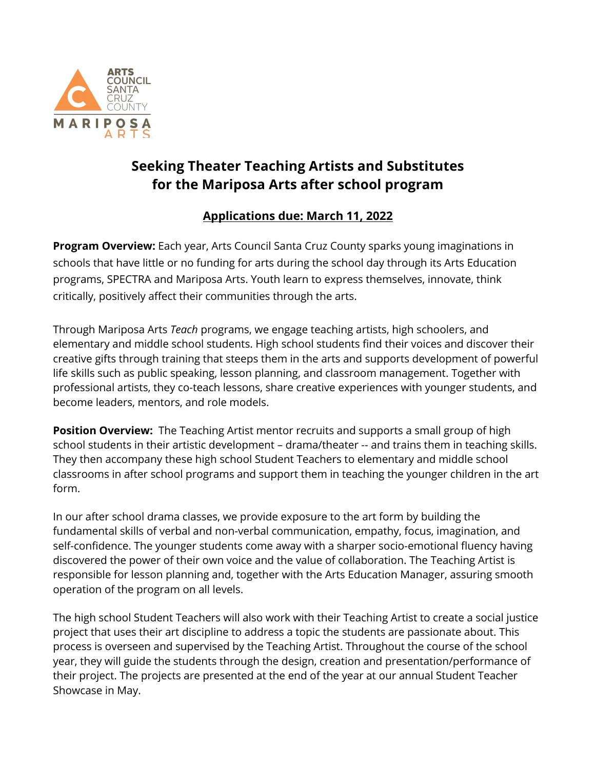

# **Seeking Theater Teaching Artists and Substitutes for the Mariposa Arts after school program**

## **Applications due: March 11, 2022**

**Program Overview:** Each year, Arts Council Santa Cruz County sparks young imaginations in schools that have little or no funding for arts during the school day through its Arts Education programs, SPECTRA and Mariposa Arts. Youth learn to express themselves, innovate, think critically, positively affect their communities through the arts.

Through Mariposa Arts *Teach* programs, we engage teaching artists, high schoolers, and elementary and middle school students. High school students find their voices and discover their creative gifts through training that steeps them in the arts and supports development of powerful life skills such as public speaking, lesson planning, and classroom management. Together with professional artists, they co-teach lessons, share creative experiences with younger students, and become leaders, mentors, and role models.

**Position Overview:** The Teaching Artist mentor recruits and supports a small group of high school students in their artistic development – drama/theater -- and trains them in teaching skills. They then accompany these high school Student Teachers to elementary and middle school classrooms in after school programs and support them in teaching the younger children in the art form.

In our after school drama classes, we provide exposure to the art form by building the fundamental skills of verbal and non-verbal communication, empathy, focus, imagination, and self-confidence. The younger students come away with a sharper socio-emotional fluency having discovered the power of their own voice and the value of collaboration. The Teaching Artist is responsible for lesson planning and, together with the Arts Education Manager, assuring smooth operation of the program on all levels.

The high school Student Teachers will also work with their Teaching Artist to create a social justice project that uses their art discipline to address a topic the students are passionate about. This process is overseen and supervised by the Teaching Artist. Throughout the course of the school year, they will guide the students through the design, creation and presentation/performance of their project. The projects are presented at the end of the year at our annual Student Teacher Showcase in May.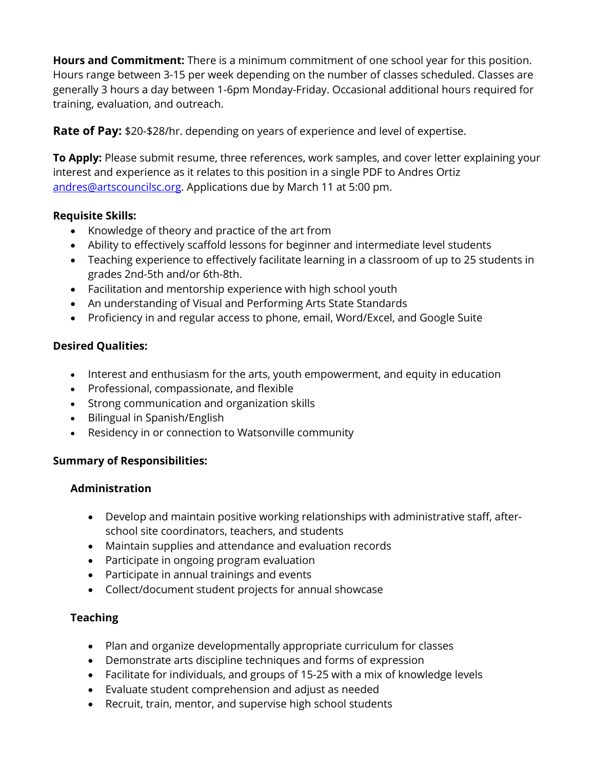**Hours and Commitment:** There is a minimum commitment of one school year for this position. Hours range between 3-15 per week depending on the number of classes scheduled. Classes are generally 3 hours a day between 1-6pm Monday-Friday. Occasional additional hours required for training, evaluation, and outreach.

**Rate of Pay:** \$20-\$28/hr. depending on years of experience and level of expertise.

**To Apply:** Please submit resume, three references, work samples, and cover letter explaining your interest and experience as it relates to this position in a single PDF to Andres Ortiz andres@artscouncilsc.org. Applications due by March 11 at 5:00 pm.

#### **Requisite Skills:**

- Knowledge of theory and practice of the art from
- Ability to effectively scaffold lessons for beginner and intermediate level students
- Teaching experience to effectively facilitate learning in a classroom of up to 25 students in grades 2nd-5th and/or 6th-8th.
- Facilitation and mentorship experience with high school youth
- An understanding of Visual and Performing Arts State Standards
- Proficiency in and regular access to phone, email, Word/Excel, and Google Suite

#### **Desired Qualities:**

- Interest and enthusiasm for the arts, youth empowerment, and equity in education
- Professional, compassionate, and flexible
- Strong communication and organization skills
- Bilingual in Spanish/English
- Residency in or connection to Watsonville community

#### **Summary of Responsibilities:**

#### **Administration**

- Develop and maintain positive working relationships with administrative staff, afterschool site coordinators, teachers, and students
- Maintain supplies and attendance and evaluation records
- Participate in ongoing program evaluation
- Participate in annual trainings and events
- Collect/document student projects for annual showcase

### **Teaching**

- Plan and organize developmentally appropriate curriculum for classes
- Demonstrate arts discipline techniques and forms of expression
- Facilitate for individuals, and groups of 15-25 with a mix of knowledge levels
- Evaluate student comprehension and adjust as needed
- Recruit, train, mentor, and supervise high school students